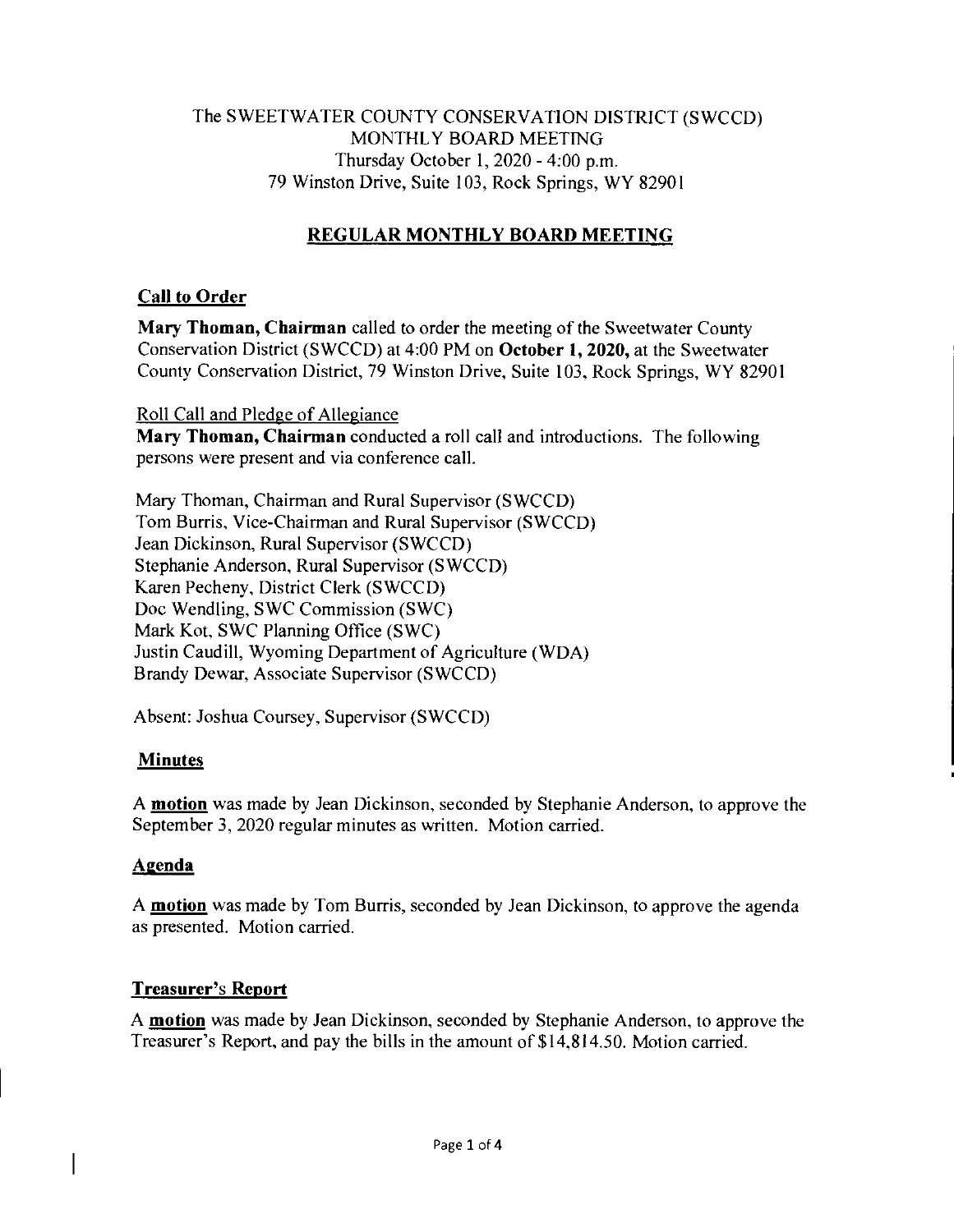#### The SWEETWATER COUNTY CONSERVATION DISTRICT (SWCCD) MONTHLY BOARD MEETING Thursday October 1, 2020 - 4:00 p.m. 79 Winston Drive, Suite 103, Rock Springs, WY 82901

# **REGULAR MONTHLY BOARD MEETING**

#### **Call to Order**

**Mary Thoman, Chairman** called to order the meeting of the Sweetwater County Conservation District (SWCCD) at 4:00 PM on **October 1, 2020,** at the Sweetwater County Conservation District, 79 Winston Drive, Suite 103, Rock Springs, WY 82901

Roll Call and Pledge of Allegiance

**Mary Thoman, Chairman** conducted a roll call and introductions. The following persons were present and via conference call.

Mary Thoman, Chairman and Rural Supervisor (SWCCD) Tom Burris, Vice-Chairman and Rural Supervisor (SWCCD) Jean Dickinson, Rural Supervisor (SWCCD) Stephanie Anderson, Rural Supervisor (SWCCD) Karen Pecheny, District Clerk (SWCCD) Doc Wendling, SWC Commission (SWC) Mark Kot, SWC Planning Office (SWC) Justin Caudill, Wyoming Department of Agriculture (WDA) Brandy Dewar, Associate Supervisor (SWCCD)

Absent: Joshua Coursey, Supervisor (SWCCD)

## **Minutes**

A **motion** was made by Jean Dickinson, seconded by Stephanie Anderson, to approve the September 3, 2020 regular minutes as written. Motion carried.

## **Agenda**

 $\overline{\phantom{a}}$ 

A **motion** was made by Tom Burris, seconded by Jean Dickinson, to approve the agenda as presented. Motion carried.

#### **Treasurer's Report**

A **motion** was made by Jean Dickinson, seconded by Stephanie Anderson, to approve the Treasurer's Report, and pay the bills in the amount of \$14,814.50. Motion carried.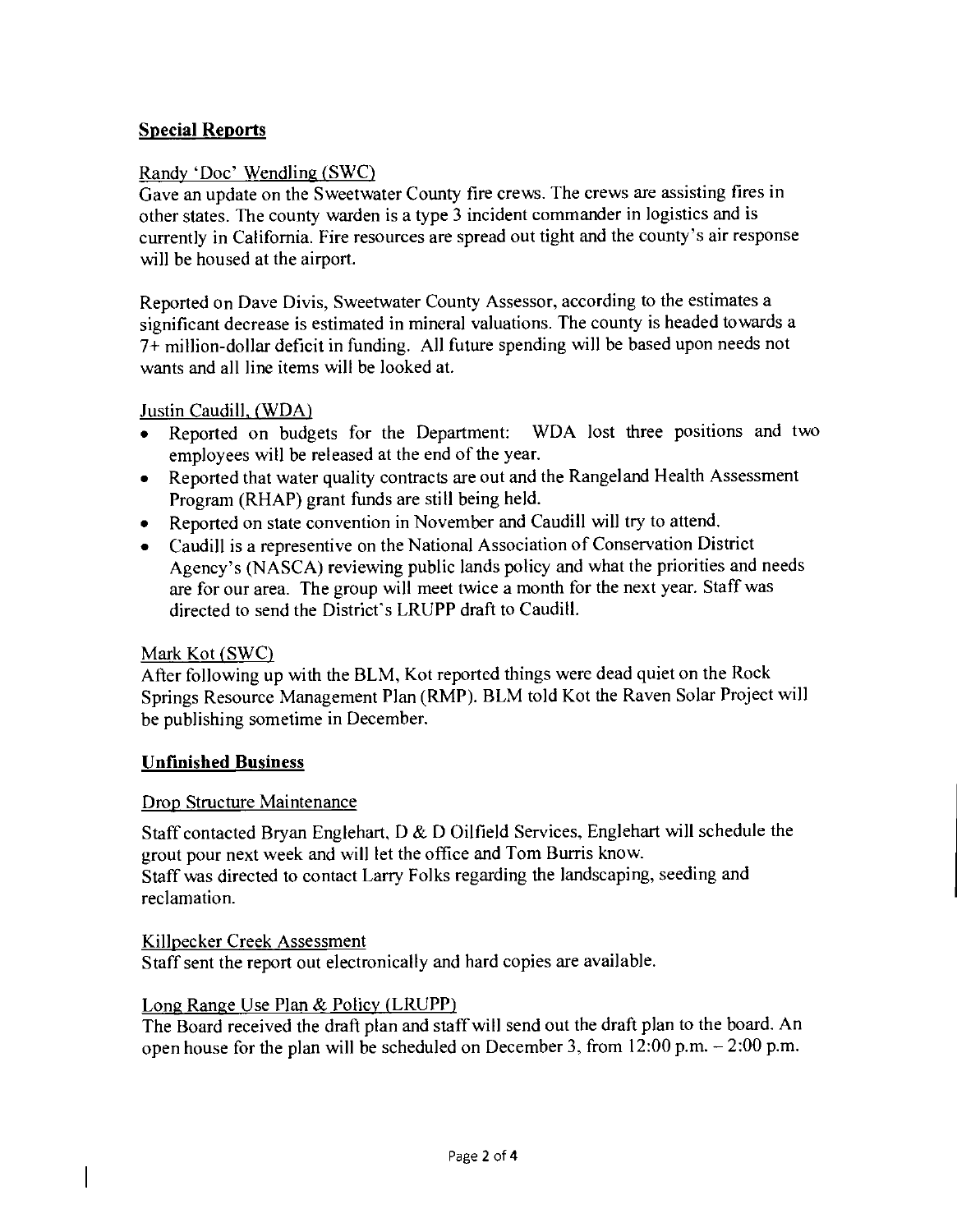#### **Special Reports**

#### Randy 'Doc' Wendling (SWC)

Gave an update on the Sweetwater County fire crews. The crews are assisting fires in other states. The county warden is a type 3 incident commander in logistics and is currently in California. Fire resources are spread out tight and the county's air response will be housed at the airport.

Reported on Dave Divis, Sweetwater County Assessor, according to the estimates a significant decrease is estimated in mineral valuations. The county is headed towards a 7+ million-dollar deficit in funding. All future spending will be based upon needs not wants and all line items will be looked at.

Justin Caudill, (WDA)

- Reported on budgets for the Department: WDA lost three positions and two employees will be released at the end of the year.
- Reported that water quality contracts are out and the Rangeland Health Assessment Program (RHAP) grant funds are still being held.
- Reported on state convention in November and Caudill will try to attend.
- Caudill is a representive on the National Association of Conservation District Agency's (NASCA) reviewing public lands policy and what the priorities and needs are for our area. The group will meet twice a month for the next year. Staff was directed to send the District's LRUPP draft to Caudill.

#### Mark Kot (SWC)

After following up with the BLM, Kot reported things were dead quiet on the Rock Springs Resource Management Plan (RMP). BLM told Kot the Raven Solar Project will be publishing sometime in December.

#### **Unfinished Business**

#### Drop Structure Maintenance

Staff contacted Bryan Englehart, D & D Oilfield Services, Englehart will schedule the grout pour next week and will let the office and Tom Burris know. Staff was directed to contact Larry Folks regarding the landscaping, seeding and reclamation.

#### Killpecker Creek Assessment

Staff sent the report out electronically and hard copies are available.

#### Long Range Use Plan & Policy (LRUPP)

The Board received the draft plan and staff will send out the draft plan to the board. An open house for the plan will be scheduled on December 3, from 12:00 p.m. — 2:00 p.m.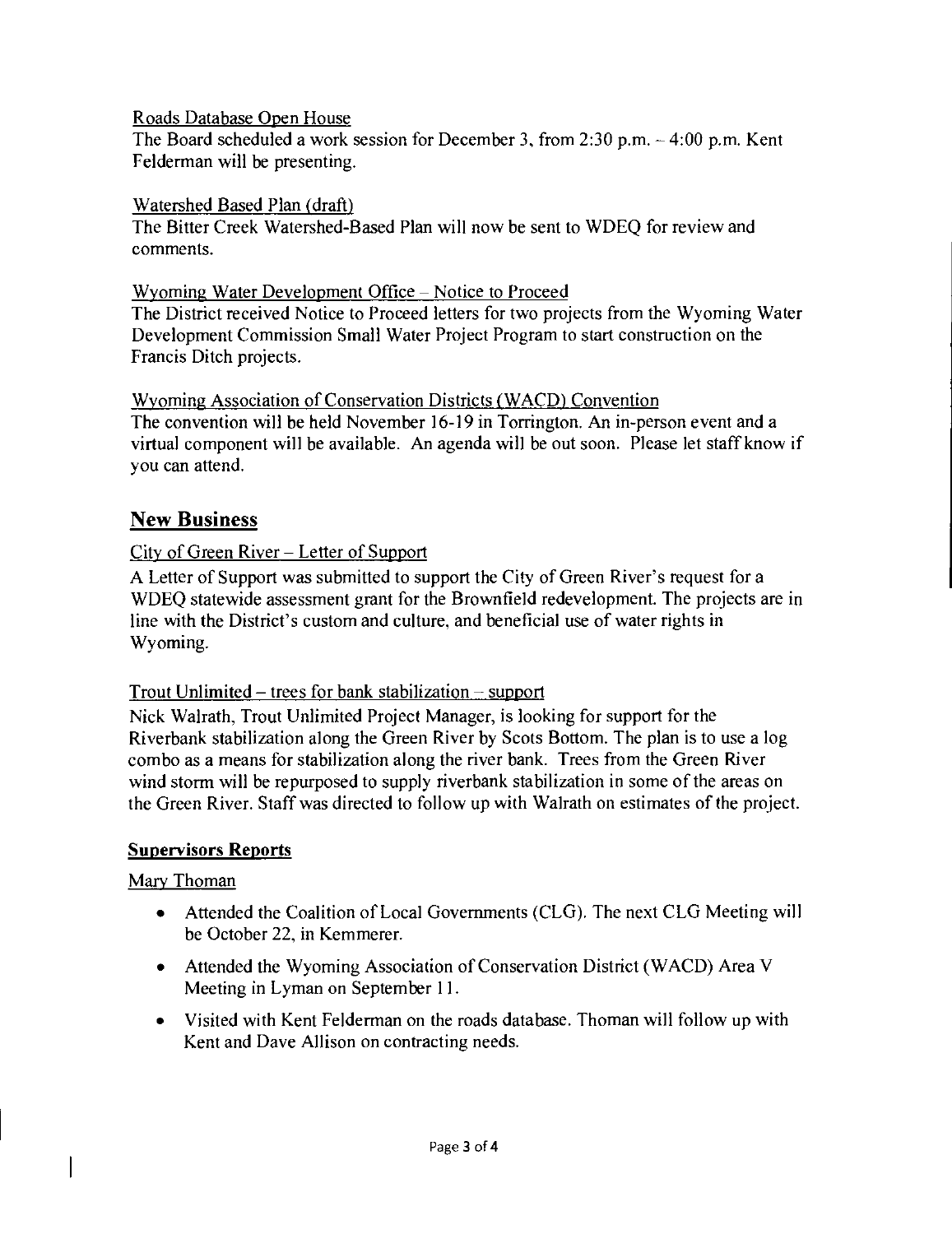Roads Database Open House

The Board scheduled a work session for December 3, from 2:30 p.m. — 4:00 p.m. Kent Felderman will be presenting.

#### Watershed Based Plan (draft)

The Bitter Creek Watershed-Based Plan will now be sent to WDEQ for review and comments.

### Wyoming Water Development Office — Notice to Proceed

The District received Notice to Proceed letters for two projects from the Wyoming Water Development Commission Small Water Project Program to start construction on the Francis Ditch projects.

## Wyoming Association of Conservation Districts (WACD) Convention

The convention will be held November 16-19 in Torrington. An in-person event and a virtual component will be available. An agenda will be out soon. Please let staff know if you can attend.

# New Business

## City of Green River — Letter of Support

A Letter of Support was submitted to support the City of Green River's request for a WDEQ statewide assessment grant for the Brownfield redevelopment. The projects are in line with the District's custom and culture, and beneficial use of water rights in Wyoming.

## Trout Unlimited – trees for bank stabilization  $-$  support

Nick Walrath, Trout Unlimited Project Manager, is looking for support for the Riverbank stabilization along the Green River by Scots Bottom. The plan is to use a log combo as a means for stabilization along the river bank. Trees from the Green River wind storm will be repurposed to supply riverbank stabilization in some of the areas on the Green River. Staff was directed to follow up with Walrath on estimates of the project.

## **Supervisors Reports**

## Mary Thoman

- Attended the Coalition of Local Governments (CLG). The next CLG Meeting will be October 22, in Kemmerer.
- Attended the Wyoming Association of Conservation District (WACD) Area V Meeting in Lyman on September 11.
- Visited with Kent Felderman on the roads database. Thoman will follow up with Kent and Dave Allison on contracting needs.